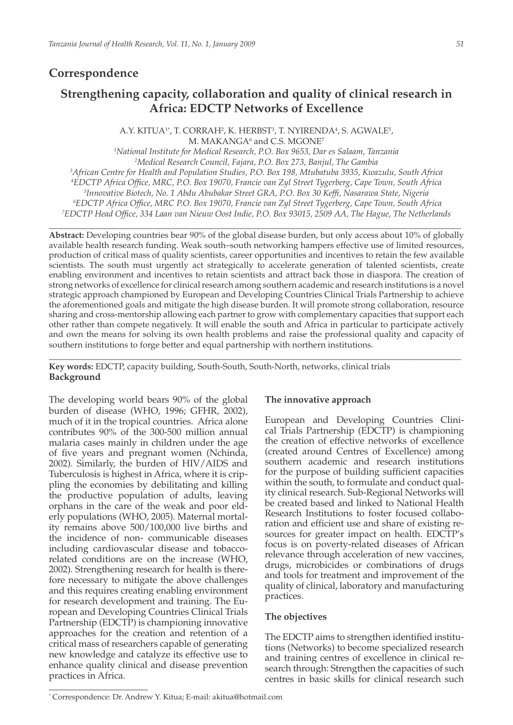# **Correspondence**

# **Strengthening capacity, collaboration and quality of clinical research in Africa: EDCTP Networks of Excellence**

A.Y. KITUA<sup>1</sup>\*, T. CORRAH<sup>2</sup>, K. HERBST<sup>3</sup>, T. NYIRENDA<sup>4</sup>, S. AGWALE<sup>5</sup>, M. MAKANGA<sup>6</sup> and C.S. MGONE<sup>7</sup>

*1 National Institute for Medical Research, P.O. Box 9653, Dar es Salaam, Tanzania* <sup>2</sup>Medical Research Council, Fajara, P.O. Box 273, Banjul, The Gambia <sup>3</sup><br>African Centre for Health and Population Studies, P.O. Box 198, Mtuhatuha 3935, Kzpa *African Centre for Health and Population Studies, P.O. Box 198, Mtubatuba 3935, Kwazulu, South Africa 4 EDCTP Africa Office, MRC, P.O. Box 19070, Francie van Zyl Street Tygerberg, Cape Town, South Africa 5 Innovative Biotech, No. 1 Abdu Abubakar Street GRA, P.O. Box 30 Keffi, Nasarawa State, Nigeria 6 EDCTP Africa Office, MRC P.O. Box 19070, Francie van Zyl Street Tygerberg, Cape Town, South Africa 7 EDCTP Head Office, 334 Laan van Nieuw Oost Indie, P.O. Box 93015, 2509 AA, The Hague, The Netherlands* 

**\_\_\_\_\_\_\_\_\_\_\_\_\_\_\_\_\_\_\_\_\_\_\_\_\_\_\_\_\_\_\_\_\_\_\_\_\_\_\_\_\_\_\_\_\_\_\_\_\_\_\_\_\_\_\_\_\_\_\_\_\_\_\_\_\_\_\_\_\_\_\_\_\_\_\_\_\_\_\_\_\_\_\_\_\_\_\_**

**Abstract:** Developing countries bear 90% of the global disease burden, but only access about 10% of globally available health research funding. Weak south–south networking hampers effective use of limited resources, production of critical mass of quality scientists, career opportunities and incentives to retain the few available scientists. The south must urgently act strategically to accelerate generation of talented scientists, create enabling environment and incentives to retain scientists and attract back those in diaspora. The creation of strong networks of excellence for clinical research among southern academic and research institutions is a novel strategic approach championed by European and Developing Countries Clinical Trials Partnership to achieve the aforementioned goals and mitigate the high disease burden. It will promote strong collaboration, resource sharing and cross-mentorship allowing each partner to grow with complementary capacities that support each other rather than compete negatively. It will enable the south and Africa in particular to participate actively and own the means for solving its own health problems and raise the professional quality and capacity of southern institutions to forge better and equal partnership with northern institutions.

\_\_\_\_\_\_\_\_\_\_\_\_\_\_\_\_\_\_\_\_\_\_\_\_\_\_\_\_\_\_\_\_\_\_\_\_\_\_\_\_\_\_\_\_\_\_\_\_\_\_\_\_\_\_\_\_\_\_\_\_\_\_\_\_\_\_\_\_\_\_\_\_\_\_\_\_\_\_\_\_\_\_\_\_\_\_\_

**Key words:** EDCTP, capacity building, South-South, South-North, networks, clinical trials **Background**

The developing world bears 90% of the global burden of disease (WHO, 1996; GFHR, 2002), much of it in the tropical countries. Africa alone contributes 90% of the 300-500 million annual malaria cases mainly in children under the age of five years and pregnant women (Nchinda, 2002). Similarly, the burden of HIV/AIDS and Tuberculosis is highest in Africa, where it is crippling the economies by debilitating and killing the productive population of adults, leaving orphans in the care of the weak and poor elderly populations (WHO, 2005). Maternal mortality remains above 500/100,000 live births and the incidence of non- communicable diseases including cardiovascular disease and tobaccorelated conditions are on the increase (WHO, 2002). Strengthening research for health is therefore necessary to mitigate the above challenges and this requires creating enabling environment for research development and training. The European and Developing Countries Clinical Trials Partnership (EDCTP) is championing innovative approaches for the creation and retention of a critical mass of researchers capable of generating new knowledge and catalyze its effective use to enhance quality clinical and disease prevention practices in Africa.

#### **The innovative approach**

European and Developing Countries Clinical Trials Partnership (EDCTP) is championing the creation of effective networks of excellence (created around Centres of Excellence) among southern academic and research institutions for the purpose of building sufficient capacities within the south, to formulate and conduct quality clinical research. Sub-Regional Networks will be created based and linked to National Health Research Institutions to foster focused collaboration and efficient use and share of existing resources for greater impact on health. EDCTP's focus is on poverty-related diseases of African relevance through acceleration of new vaccines, drugs, microbicides or combinations of drugs and tools for treatment and improvement of the quality of clinical, laboratory and manufacturing practices.

#### **The objectives**

The EDCTP aims to strengthen identified institutions (Networks) to become specialized research and training centres of excellence in clinical research through: Strengthen the capacities of such centres in basic skills for clinical research such

<sup>\*</sup> Correspondence: Dr. Andrew Y. Kitua; E-mail: akitua@hotmail.com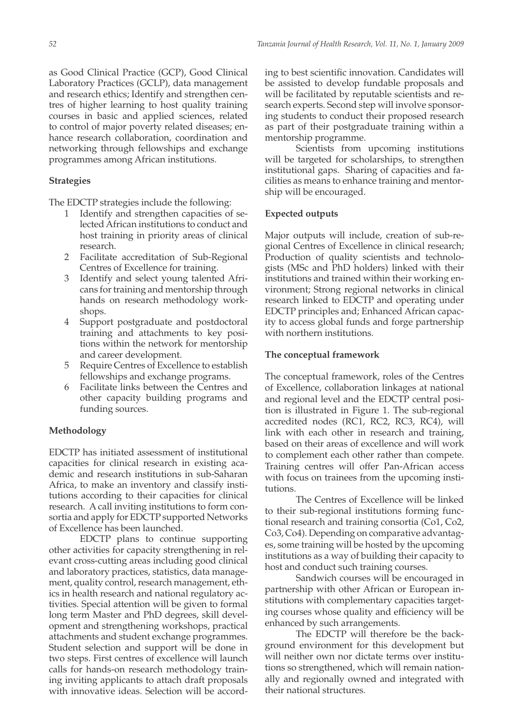as Good Clinical Practice (GCP), Good Clinical Laboratory Practices (GCLP), data management and research ethics; Identify and strengthen centres of higher learning to host quality training courses in basic and applied sciences, related to control of major poverty related diseases; enhance research collaboration, coordination and networking through fellowships and exchange programmes among African institutions.

#### **Strategies**

The EDCTP strategies include the following:

- 1 Identify and strengthen capacities of selected African institutions to conduct and host training in priority areas of clinical research.
- 2 Facilitate accreditation of Sub-Regional Centres of Excellence for training.
- 3 Identify and select young talented Africans for training and mentorship through hands on research methodology workshops.
- 4 Support postgraduate and postdoctoral training and attachments to key positions within the network for mentorship and career development.
- 5 Require Centres of Excellence to establish fellowships and exchange programs.
- 6 Facilitate links between the Centres and other capacity building programs and funding sources.

#### **Methodology**

EDCTP has initiated assessment of institutional capacities for clinical research in existing academic and research institutions in sub-Saharan Africa, to make an inventory and classify institutions according to their capacities for clinical research. A call inviting institutions to form consortia and apply for EDCTP supported Networks of Excellence has been launched.

EDCTP plans to continue supporting other activities for capacity strengthening in relevant cross-cutting areas including good clinical and laboratory practices, statistics, data management, quality control, research management, ethics in health research and national regulatory activities. Special attention will be given to formal long term Master and PhD degrees, skill development and strengthening workshops, practical attachments and student exchange programmes. Student selection and support will be done in two steps. First centres of excellence will launch calls for hands-on research methodology training inviting applicants to attach draft proposals with innovative ideas. Selection will be according to best scientific innovation. Candidates will be assisted to develop fundable proposals and will be facilitated by reputable scientists and research experts. Second step will involve sponsoring students to conduct their proposed research as part of their postgraduate training within a mentorship programme.

 Scientists from upcoming institutions will be targeted for scholarships, to strengthen institutional gaps. Sharing of capacities and facilities as means to enhance training and mentorship will be encouraged.

#### **Expected outputs**

Major outputs will include, creation of sub-regional Centres of Excellence in clinical research; Production of quality scientists and technologists (MSc and PhD holders) linked with their institutions and trained within their working environment; Strong regional networks in clinical research linked to EDCTP and operating under EDCTP principles and; Enhanced African capacity to access global funds and forge partnership with northern institutions.

#### **The conceptual framework**

The conceptual framework, roles of the Centres of Excellence, collaboration linkages at national and regional level and the EDCTP central position is illustrated in Figure 1. The sub-regional accredited nodes (RC1, RC2, RC3, RC4), will link with each other in research and training, based on their areas of excellence and will work to complement each other rather than compete. Training centres will offer Pan-African access with focus on trainees from the upcoming institutions.

The Centres of Excellence will be linked to their sub-regional institutions forming functional research and training consortia (Co1, Co2, Co3, Co4). Depending on comparative advantages, some training will be hosted by the upcoming institutions as a way of building their capacity to host and conduct such training courses.

Sandwich courses will be encouraged in partnership with other African or European institutions with complementary capacities targeting courses whose quality and efficiency will be enhanced by such arrangements.

The EDCTP will therefore be the background environment for this development but will neither own nor dictate terms over institutions so strengthened, which will remain nationally and regionally owned and integrated with their national structures.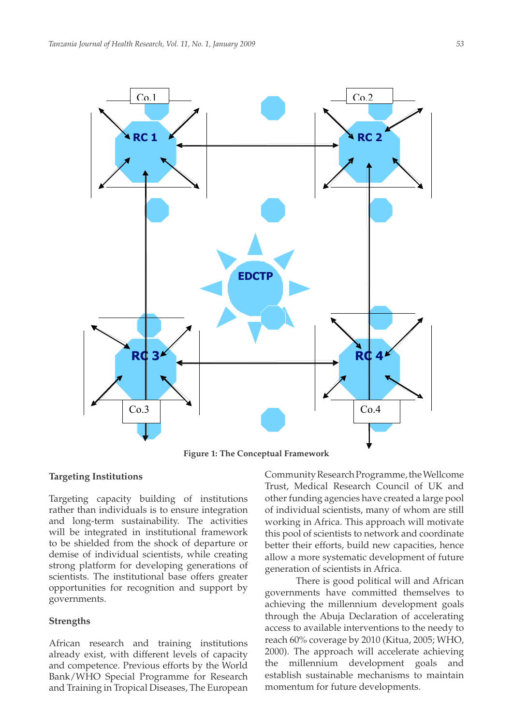

**Figure 1: The Conceptual Framework**

#### **Targeting Institutions**

Targeting capacity building of institutions rather than individuals is to ensure integration and long-term sustainability. The activities will be integrated in institutional framework to be shielded from the shock of departure or demise of individual scientists, while creating strong platform for developing generations of scientists. The institutional base offers greater opportunities for recognition and support by governments.

#### **Strengths**

African research and training institutions already exist, with different levels of capacity and competence. Previous efforts by the World Bank/WHO Special Programme for Research and Training in Tropical Diseases, The European

Community Research Programme, the Wellcome Trust, Medical Research Council of UK and other funding agencies have created a large pool of individual scientists, many of whom are still working in Africa. This approach will motivate this pool of scientists to network and coordinate better their efforts, build new capacities, hence allow a more systematic development of future generation of scientists in Africa.

There is good political will and African governments have committed themselves to achieving the millennium development goals through the Abuja Declaration of accelerating access to available interventions to the needy to reach 60% coverage by 2010 (Kitua, 2005; WHO, 2000). The approach will accelerate achieving the millennium development goals and establish sustainable mechanisms to maintain momentum for future developments.